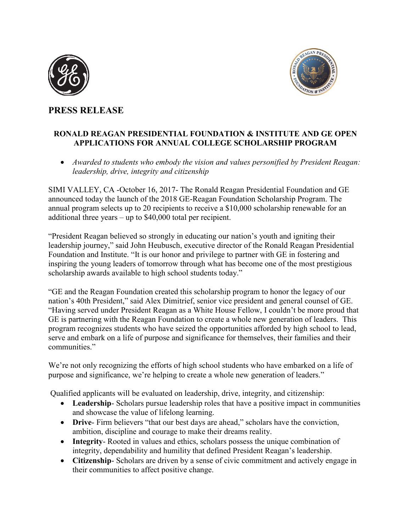



# **PRESS RELEASE**

## **RONALD REAGAN PRESIDENTIAL FOUNDATION & INSTITUTE AND GE OPEN APPLICATIONS FOR ANNUAL COLLEGE SCHOLARSHIP PROGRAM**

 *Awarded to students who embody the vision and values personified by President Reagan: leadership, drive, integrity and citizenship*

SIMI VALLEY, CA -October 16, 2017- The Ronald Reagan Presidential Foundation and GE announced today the launch of the 2018 GE-Reagan Foundation Scholarship Program. The annual program selects up to 20 recipients to receive a \$10,000 scholarship renewable for an additional three years – up to \$40,000 total per recipient.

"President Reagan believed so strongly in educating our nation's youth and igniting their leadership journey," said John Heubusch, executive director of the Ronald Reagan Presidential Foundation and Institute. "It is our honor and privilege to partner with GE in fostering and inspiring the young leaders of tomorrow through what has become one of the most prestigious scholarship awards available to high school students today."

"GE and the Reagan Foundation created this scholarship program to honor the legacy of our nation's 40th President," said Alex Dimitrief, senior vice president and general counsel of GE. "Having served under President Reagan as a White House Fellow, I couldn't be more proud that GE is partnering with the Reagan Foundation to create a whole new generation of leaders. This program recognizes students who have seized the opportunities afforded by high school to lead, serve and embark on a life of purpose and significance for themselves, their families and their communities."

We're not only recognizing the efforts of high school students who have embarked on a life of purpose and significance, we're helping to create a whole new generation of leaders."

Qualified applicants will be evaluated on leadership, drive, integrity, and citizenship:

- **Leadership** Scholars pursue leadership roles that have a positive impact in communities and showcase the value of lifelong learning.
- **Drive** Firm believers "that our best days are ahead," scholars have the conviction, ambition, discipline and courage to make their dreams reality.
- **Integrity** Rooted in values and ethics, scholars possess the unique combination of integrity, dependability and humility that defined President Reagan's leadership.
- **Citizenship** Scholars are driven by a sense of civic commitment and actively engage in their communities to affect positive change.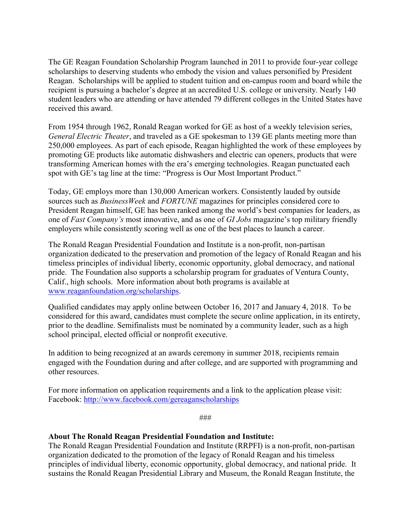The GE Reagan Foundation Scholarship Program launched in 2011 to provide four-year college scholarships to deserving students who embody the vision and values personified by President Reagan. Scholarships will be applied to student tuition and on-campus room and board while the recipient is pursuing a bachelor's degree at an accredited U.S. college or university. Nearly 140 student leaders who are attending or have attended 79 different colleges in the United States have received this award.

From 1954 through 1962, Ronald Reagan worked for GE as host of a weekly television series, *General Electric Theater*, and traveled as a GE spokesman to 139 GE plants meeting more than 250,000 employees. As part of each episode, Reagan highlighted the work of these employees by promoting GE products like automatic dishwashers and electric can openers, products that were transforming American homes with the era's emerging technologies. Reagan punctuated each spot with GE's tag line at the time: "Progress is Our Most Important Product."

Today, GE employs more than 130,000 American workers. Consistently lauded by outside sources such as *BusinessWeek* and *FORTUNE* magazines for principles considered core to President Reagan himself, GE has been ranked among the world's best companies for leaders, as one of *Fast Company's* most innovative, and as one of *GI Jobs* magazine's top military friendly employers while consistently scoring well as one of the best places to launch a career.

The Ronald Reagan Presidential Foundation and Institute is a non-profit, non-partisan organization dedicated to the preservation and promotion of the legacy of Ronald Reagan and his timeless principles of individual liberty, economic opportunity, global democracy, and national pride. The Foundation also supports a scholarship program for graduates of Ventura County, Calif., high schools. More information about both programs is available at [www.reaganfoundation.org/scholarships.](http://www.reaganfoundation.org/scholarships)

Qualified candidates may apply online between October 16, 2017 and January 4, 2018. To be considered for this award, candidates must complete the secure online application, in its entirety, prior to the deadline. Semifinalists must be nominated by a community leader, such as a high school principal, elected official or nonprofit executive.

In addition to being recognized at an awards ceremony in summer 2018, recipients remain engaged with the Foundation during and after college, and are supported with programming and other resources.

For more information on application requirements and a link to the application please visit: Facebook:<http://www.facebook.com/gereaganscholarships>

###

### **About The Ronald Reagan Presidential Foundation and Institute:**

The Ronald Reagan Presidential Foundation and Institute (RRPFI) is a non-profit, non-partisan organization dedicated to the promotion of the legacy of Ronald Reagan and his timeless principles of individual liberty, economic opportunity, global democracy, and national pride. It sustains the Ronald Reagan Presidential Library and Museum, the Ronald Reagan Institute, the